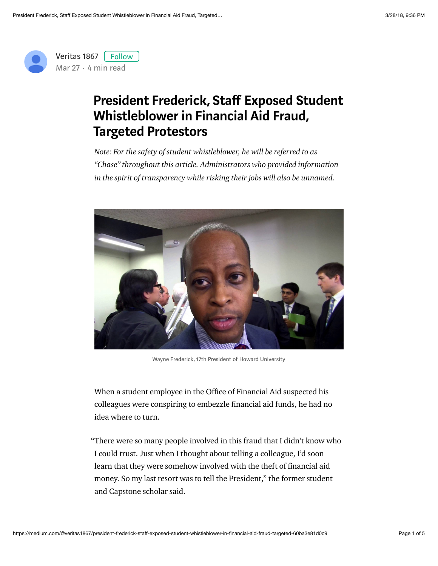

## President Frederick, Staff Exposed Student Whistleblower in Financial Aid Fraud, Targeted Protestors

Note: For the safety of student whistleblower, he will be referred to as "Chase" throughout this article. Administrators who provided information in the spirit of transparency while risking their jobs will also be unnamed.



Wayne Frederick, 17th President of Howard University

When a student employee in the Office of Financial Aid suspected his colleagues were conspiring to embezzle financial aid funds, he had no idea where to turn.

"There were so many people involved in this fraud that I didn't know who I could trust. Just when I thought about telling a colleague, I'd soon learn that they were somehow involved with the theft of financial aid money. So my last resort was to tell the President," the former student and Capstone scholar said.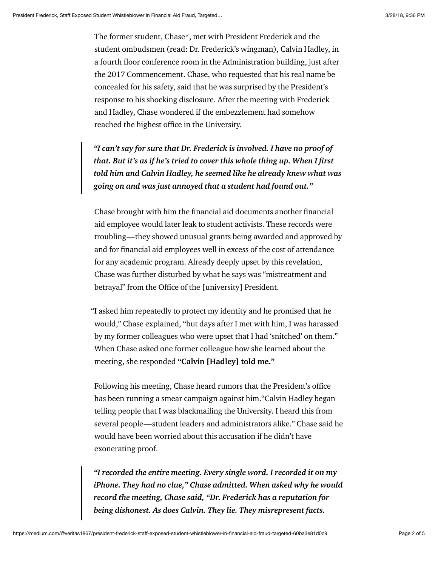The former student, Chase\*, met with President Frederick and the student ombudsmen (read: Dr. Frederick's wingman), Calvin Hadley, in a fourth floor conference room in the Administration building, just after the 2017 Commencement. Chase, who requested that his real name be concealed for his safety, said that he was surprised by the President's response to his shocking disclosure. After the meeting with Frederick and Hadley, Chase wondered if the embezzlement had somehow reached the highest office in the University.

"I can't say for sure that Dr. Frederick is involved. I have no proof of that. But it's as if he's tried to cover this whole thing up. When I first told him and Calvin Hadley, he seemed like he already knew what was going on and was just annoyed that a student had found out."

Chase brought with him the financial aid documents another financial aid employee would later leak to student activists. These records were troubling—they showed unusual grants being awarded and approved by and for financial aid employees well in excess of the cost of attendance for any academic program. Already deeply upset by this revelation, Chase was further disturbed by what he says was "mistreatment and betrayal" from the Office of the [university] President.

"I asked him repeatedly to protect my identity and he promised that he would," Chase explained, "but days after I met with him, I was harassed by my former colleagues who were upset that I had 'snitched' on them." When Chase asked one former colleague how she learned about the meeting, she responded "Calvin [Hadley] told me."

Following his meeting, Chase heard rumors that the President's office has been running a smear campaign against him."Calvin Hadley began telling people that I was blackmailing the University. I heard this from several people—student leaders and administrators alike." Chase said he would have been worried about this accusation if he didn't have exonerating proof.

"I recorded the entire meeting. Every single word. I recorded it on my iPhone. They had no clue," Chase admitted. When asked why he would record the meeting, Chase said, "Dr. Frederick has a reputation for being dishonest. As does Calvin. They lie. They misrepresent facts.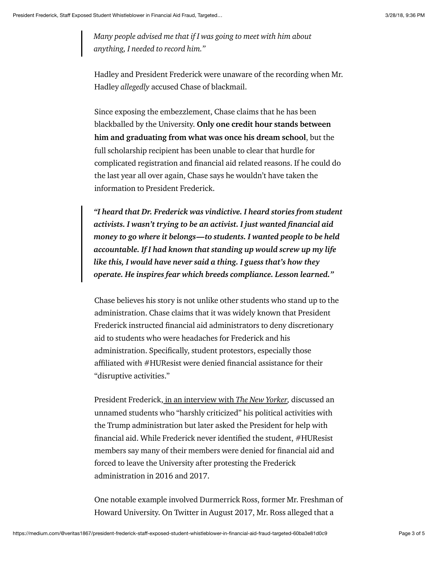Many people advised me that if I was going to meet with him about anything, I needed to record him."

Hadley and President Frederick were unaware of the recording when Mr. Hadley allegedly accused Chase of blackmail.

Since exposing the embezzlement, Chase claims that he has been blackballed by the University. Only one credit hour stands between him and graduating from what was once his dream school, but the full scholarship recipient has been unable to clear that hurdle for complicated registration and financial aid related reasons. If he could do the last year all over again, Chase says he wouldn't have taken the information to President Frederick.

"I heard that Dr. Frederick was vindictive. I heard stories from student activists. I wasn't trying to be an activist. I just wanted financial aid money to go where it belongs—to students. I wanted people to be held accountable. If I had known that standing up would screw up my life like this, I would have never said a thing. I guess that's how they operate. He inspires fear which breeds compliance. Lesson learned."

Chase believes his story is not unlike other students who stand up to the administration. Chase claims that it was widely known that President Frederick instructed financial aid administrators to deny discretionary aid to students who were headaches for Frederick and his administration. Specifically, student protestors, especially those affiliated with  $#HUR$ esist were denied financial assistance for their "disruptive activities."

President Frederick[, in an interview with](https://www.newyorker.com/magazine/2018/01/15/under-trump-a-hard-test-for-howard-university) The New Yorker, discussed an unnamed students who "harshly criticized" his political activities with the Trump administration but later asked the President for help with financial aid. While Frederick never identified the student,  $#HUResist$ members say many of their members were denied for financial aid and forced to leave the University after protesting the Frederick administration in 2016 and 2017.

One notable example involved Durmerrick Ross, former Mr. Freshman of Howard University. On Twitter in August 2017, Mr. Ross alleged that a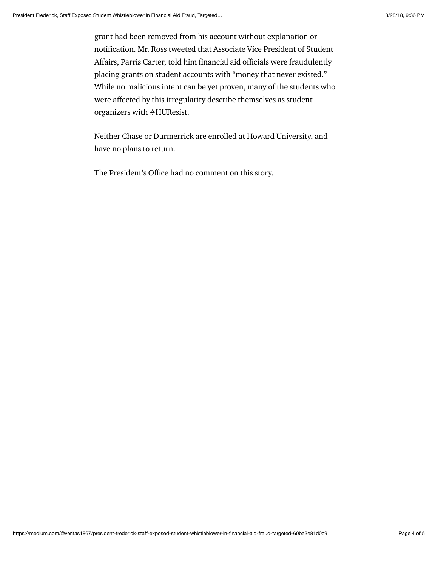grant had been removed from his account without explanation or notification. Mr. Ross tweeted that Associate Vice President of Student Affairs, Parris Carter, told him financial aid officials were fraudulently placing grants on student accounts with "money that never existed." While no malicious intent can be yet proven, many of the students who were affected by this irregularity describe themselves as student organizers with #HUResist.

Neither Chase or Durmerrick are enrolled at Howard University, and have no plans to return.

The President's Office had no comment on this story.